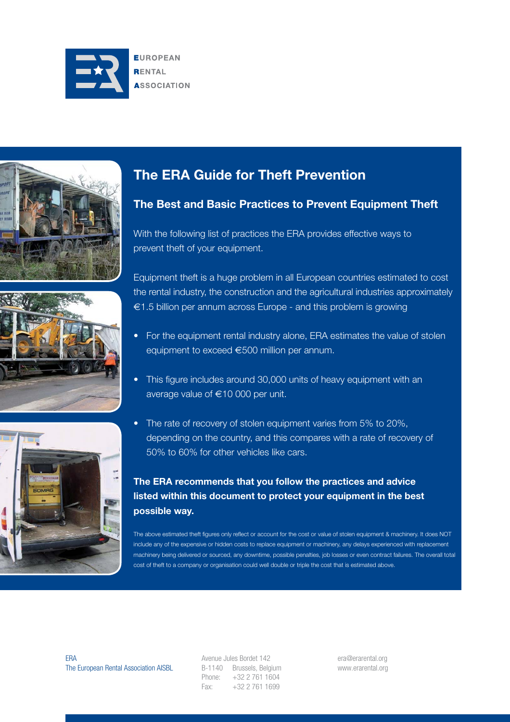







# **The ERA Guide for Theft Prevention**

# **The Best and Basic Practices to Prevent Equipment Theft**

With the following list of practices the ERA provides effective ways to prevent theft of your equipment.

Equipment theft is a huge problem in all European countries estimated to cost the rental industry, the construction and the agricultural industries approximately €1.5 billion per annum across Europe - and this problem is growing

- For the equipment rental industry alone, ERA estimates the value of stolen equipment to exceed €500 million per annum.
- This figure includes around 30,000 units of heavy equipment with an average value of €10 000 per unit.
- The rate of recovery of stolen equipment varies from 5% to 20%, depending on the country, and this compares with a rate of recovery of 50% to 60% for other vehicles like cars.

# **The ERA recommends that you follow the practices and advice listed within this document to protect your equipment in the best possible way.**

The above estimated theft figures only reflect or account for the cost or value of stolen equipment & machinery. It does NOT include any of the expensive or hidden costs to replace equipment or machinery, any delays experienced with replacement machinery being delivered or sourced, any downtime, possible penalties, job losses or even contract failures. The overall total cost of theft to a company or organisation could well double or triple the cost that is estimated above.

ERA The European Rental Association AISBL Avenue Jules Bordet 142 B-1140 Brussels, Belgium Phone: +32 2 761 1604 Fax: +32 2 761 1699

era@erarental.org www.erarental.org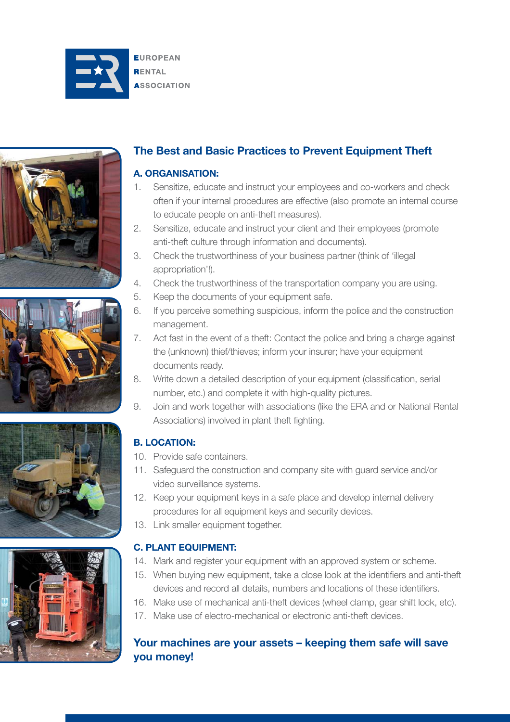









# **The Best and Basic Practices to Prevent Equipment Theft**

#### **A. ORGANISATION:**

- 1. Sensitize, educate and instruct your employees and co-workers and check often if your internal procedures are effective (also promote an internal course to educate people on anti-theft measures).
- 2. Sensitize, educate and instruct your client and their employees (promote anti-theft culture through information and documents).
- 3. Check the trustworthiness of your business partner (think of 'illegal appropriation'!).
- 4. Check the trustworthiness of the transportation company you are using.
- 5. Keep the documents of your equipment safe.
- 6. If you perceive something suspicious, inform the police and the construction management.
- 7. Act fast in the event of a theft: Contact the police and bring a charge against the (unknown) thief/thieves; inform your insurer; have your equipment documents ready.
- 8. Write down a detailed description of your equipment (classification, serial number, etc.) and complete it with high-quality pictures.
- 9. Join and work together with associations (like the ERA and or National Rental Associations) involved in plant theft fighting.

## **B. LOCATION:**

- 10. Provide safe containers.
- 11. Safeguard the construction and company site with guard service and/or video surveillance systems.
- 12. Keep your equipment keys in a safe place and develop internal delivery procedures for all equipment keys and security devices.
- 13. Link smaller equipment together.

#### **C. PLANT EQUIPMENT:**

- 14. Mark and register your equipment with an approved system or scheme.
- 15. When buying new equipment, take a close look at the identifiers and anti-theft devices and record all details, numbers and locations of these identifiers.
- 16. Make use of mechanical anti-theft devices (wheel clamp, gear shift lock, etc).
- 17. Make use of electro-mechanical or electronic anti-theft devices.

## **Your machines are your assets – keeping them safe will save you money!**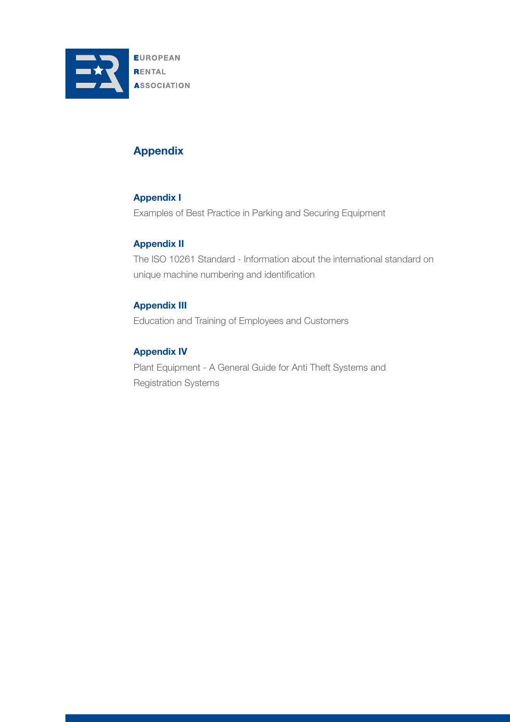

# **Appendix**

#### **Appendix I**

Examples of Best Practice in Parking and Securing Equipment

#### **Appendix II**

The ISO 10261 Standard - Information about the international standard on unique machine numbering and identification

### **Appendix III**

Education and Training of Employees and Customers

#### **Appendix IV**

Plant Equipment - A General Guide for Anti Theft Systems and Registration Systems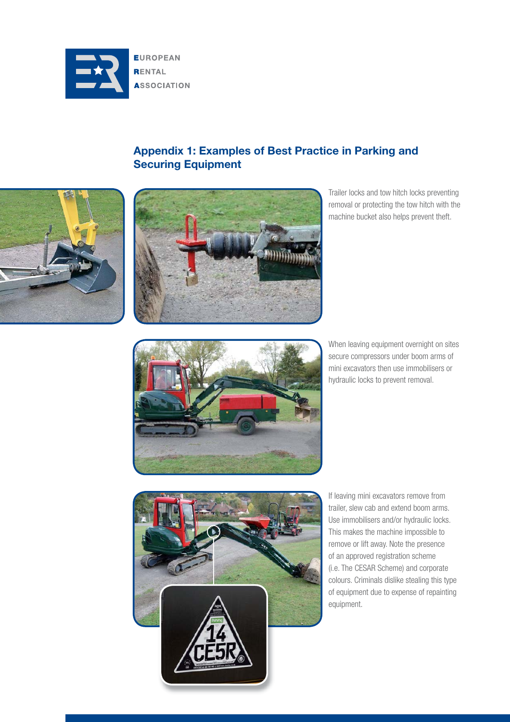

# **Appendix 1: Examples of Best Practice in Parking and Securing Equipment**





Trailer locks and tow hitch locks preventing removal or protecting the tow hitch with the machine bucket also helps prevent theft.



When leaving equipment overnight on sites secure compressors under boom arms of mini excavators then use immobilisers or hydraulic locks to prevent removal.



If leaving mini excavators remove from trailer, slew cab and extend boom arms. Use immobilisers and/or hydraulic locks. This makes the machine impossible to remove or lift away. Note the presence of an approved registration scheme (i.e. The CESAR Scheme) and corporate colours. Criminals dislike stealing this type of equipment due to expense of repainting equipment.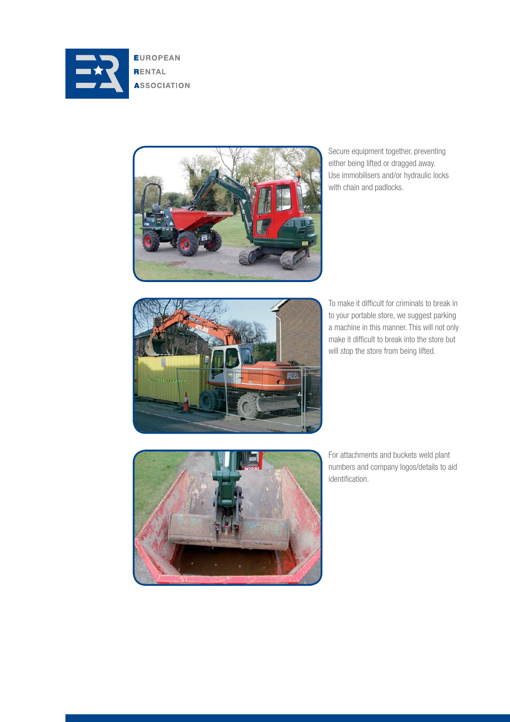

**EUROPEAN RENTAL ASSOCIATION** 



Secure equipment together, preventing either being lifted or dragged away. Use immobilisers and/or hydraulic locks with chain and padlocks.



To make it difficult for criminals to break in to your portable store, we suggest parking a machine in this manner. This will not only make it difficult to break into the store but will stop the store from being lifted.



For attachments and buckets weld plant numbers and company logos/details to aid identification.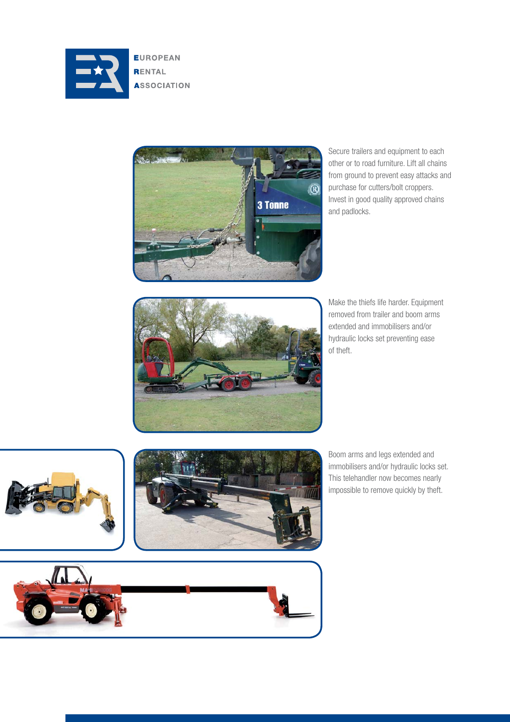

**EUROPEAN RENTAL ASSOCIATION** 



Secure trailers and equipment to each other or to road furniture. Lift all chains from ground to prevent easy attacks and purchase for cutters/bolt croppers. Invest in good quality approved chains and padlocks.



Make the thiefs life harder. Equipment removed from trailer and boom arms extended and immobilisers and/or hydraulic locks set preventing ease of theft.





Boom arms and legs extended and immobilisers and/or hydraulic locks set. This telehandler now becomes nearly impossible to remove quickly by theft.

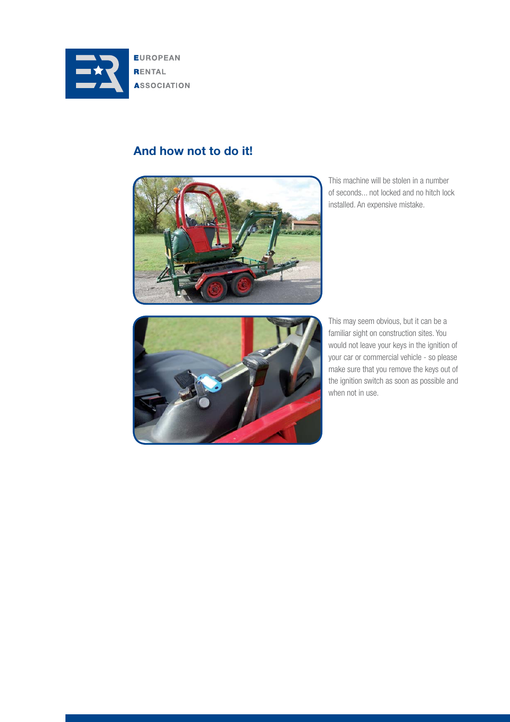

# **And how not to do it!**



This machine will be stolen in a number of seconds... not locked and no hitch lock installed. An expensive mistake.



This may seem obvious, but it can be a familiar sight on construction sites. You would not leave your keys in the ignition of your car or commercial vehicle - so please make sure that you remove the keys out of the ignition switch as soon as possible and when not in use.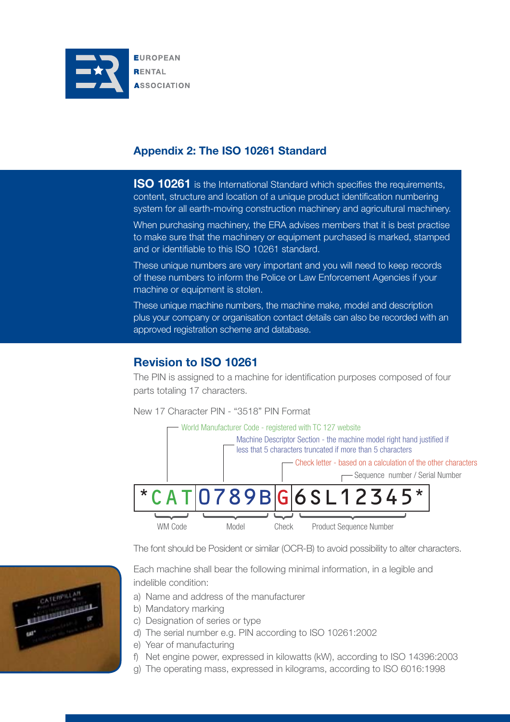

## **Appendix 2: The ISO 10261 Standard**

**ISO 10261** is the International Standard which specifies the requirements, content, structure and location of a unique product identification numbering system for all earth-moving construction machinery and agricultural machinery.

When purchasing machinery, the ERA advises members that it is best practise to make sure that the machinery or equipment purchased is marked, stamped and or identifiable to this ISO 10261 standard.

These unique numbers are very important and you will need to keep records of these numbers to inform the Police or Law Enforcement Agencies if your machine or equipment is stolen.

These unique machine numbers, the machine make, model and description plus your company or organisation contact details can also be recorded with an approved registration scheme and database.

## **Revision to ISO 10261**

The PIN is assigned to a machine for identification purposes composed of four parts totaling 17 characters.

New 17 Character PIN - "3518" PIN Format



The font should be Posident or similar (OCR-B) to avoid possibility to alter characters.

Each machine shall bear the following minimal information, in a legible and indelible condition:

- a) Name and address of the manufacturer
- b) Mandatory marking
- c) Designation of series or type
- d) The serial number e.g. PIN according to ISO 10261:2002
- e) Year of manufacturing
- f) Net engine power, expressed in kilowatts (kW), according to ISO 14396:2003
- g) The operating mass, expressed in kilograms, according to ISO 6016:1998

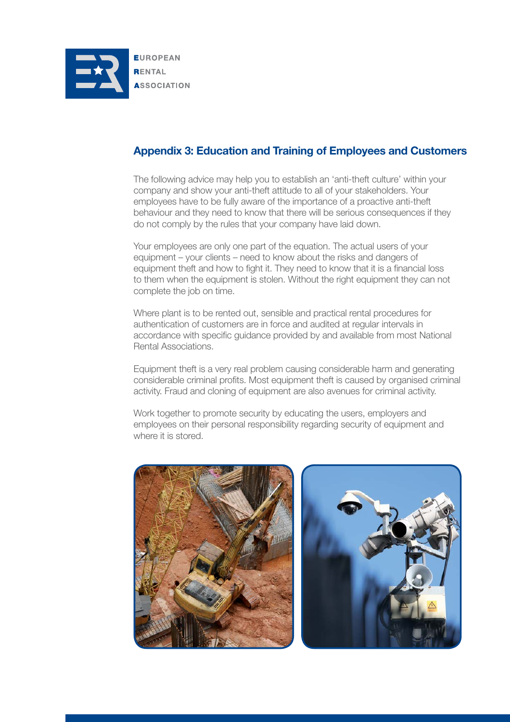

# **Appendix 3: Education and Training of Employees and Customers**

The following advice may help you to establish an 'anti-theft culture' within your company and show your anti-theft attitude to all of your stakeholders. Your employees have to be fully aware of the importance of a proactive anti-theft behaviour and they need to know that there will be serious consequences if they do not comply by the rules that your company have laid down.

Your employees are only one part of the equation. The actual users of your equipment – your clients – need to know about the risks and dangers of equipment theft and how to fight it. They need to know that it is a financial loss to them when the equipment is stolen. Without the right equipment they can not complete the job on time.

Where plant is to be rented out, sensible and practical rental procedures for authentication of customers are in force and audited at regular intervals in accordance with specific guidance provided by and available from most National Rental Associations.

Equipment theft is a very real problem causing considerable harm and generating considerable criminal profits. Most equipment theft is caused by organised criminal activity. Fraud and cloning of equipment are also avenues for criminal activity.

Work together to promote security by educating the users, employers and employees on their personal responsibility regarding security of equipment and where it is stored.

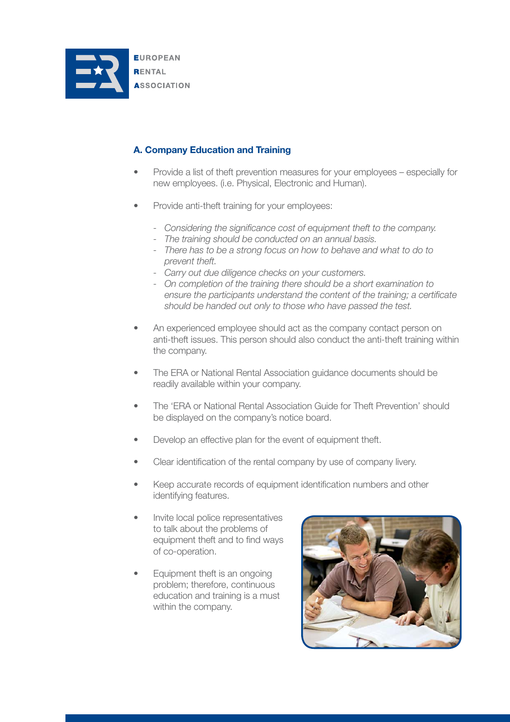

## **A. Company Education and Training**

- Provide a list of theft prevention measures for your employees especially for new employees. (i.e. Physical, Electronic and Human).
- Provide anti-theft training for your employees:
	- Considering the significance cost of equipment theft to the company.
	- *The training should be conducted on an annual basis.*
	- *There has to be a strong focus on how to behave and what to do to prevent theft.*
	- *Carry out due diligence checks on your customers.*
	- *On completion of the training there should be a short examination to*  ensure the participants understand the content of the training; a certificate  *should be handed out only to those who have passed the test.*
- An experienced employee should act as the company contact person on anti-theft issues. This person should also conduct the anti-theft training within the company.
- The ERA or National Rental Association guidance documents should be readily available within your company.
- The 'ERA or National Rental Association Guide for Theft Prevention' should be displayed on the company's notice board.
- Develop an effective plan for the event of equipment theft.
- Clear identification of the rental company by use of company livery.
- Keep accurate records of equipment identification numbers and other identifying features.
- Invite local police representatives to talk about the problems of equipment theft and to find ways of co-operation.
- Equipment theft is an ongoing problem; therefore, continuous education and training is a must within the company.

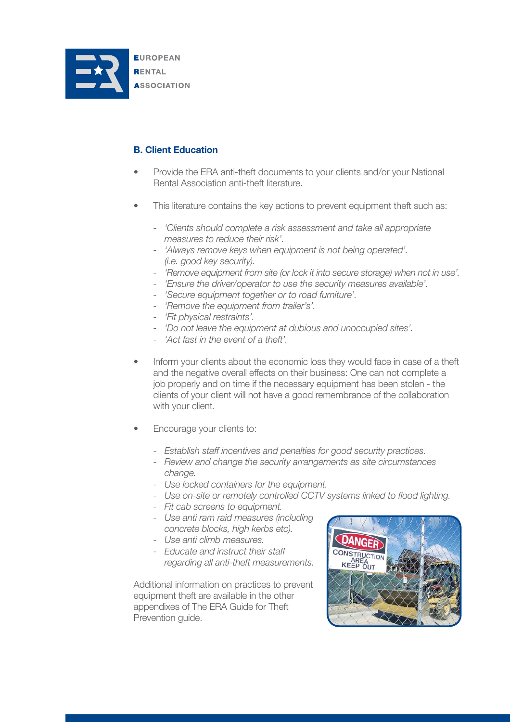

### **B. Client Education**

- Provide the ERA anti-theft documents to your clients and/or your National Rental Association anti-theft literature.
- This literature contains the key actions to prevent equipment theft such as:
	- *'Clients should complete a risk assessment and take all appropriate measures to reduce their risk'.*
	- *'Always remove keys when equipment is not being operated'. (i.e. good key security).*
	- *'Remove equipment from site (or lock it into secure storage) when not in use'.*
	- *'Ensure the driver/operator to use the security measures available'.*
	- *'Secure equipment together or to road furniture'.*
	- *'Remove the equipment from trailer's'.*
	- *'Fit physical restraints'.*
	- *'Do not leave the equipment at dubious and unoccupied sites'.*
	- *'Act fast in the event of a theft'.*
- Inform your clients about the economic loss they would face in case of a theft and the negative overall effects on their business: One can not complete a job properly and on time if the necessary equipment has been stolen - the clients of your client will not have a good remembrance of the collaboration with your client.
- Encourage your clients to:
	- *Establish staff incentives and penalties for good security practices.*
	- *Review and change the security arrangements as site circumstances change.*
	- *Use locked containers for the equipment.*
	- Use on-site or remotely controlled CCTV systems linked to flood lighting.
	- *Fit cab screens to equipment.*
	- *Use anti ram raid measures (including concrete blocks, high kerbs etc).*
	- *Use anti climb measures.*
	- *Educate and instruct their staff regarding all anti-theft measurements.*

Additional information on practices to prevent equipment theft are available in the other appendixes of The ERA Guide for Theft Prevention guide.

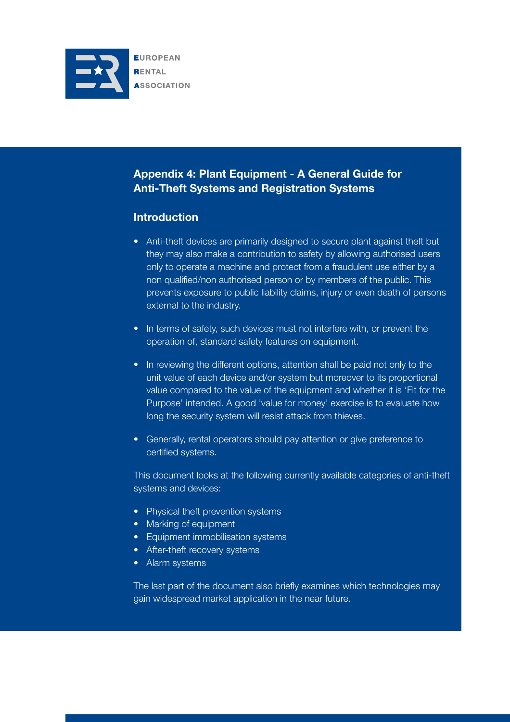

# **Appendix 4: Plant Equipment - A General Guide for Anti-Theft Systems and Registration Systems**

## **Introduction**

- Anti-theft devices are primarily designed to secure plant against theft but they may also make a contribution to safety by allowing authorised users only to operate a machine and protect from a fraudulent use either by a non qualified/non authorised person or by members of the public. This prevents exposure to public liability claims, injury or even death of persons external to the industry.
- In terms of safety, such devices must not interfere with, or prevent the operation of, standard safety features on equipment.
- In reviewing the different options, attention shall be paid not only to the unit value of each device and/or system but moreover to its proportional value compared to the value of the equipment and whether it is 'Fit for the Purpose' intended. A good 'value for money' exercise is to evaluate how long the security system will resist attack from thieves.
- Generally, rental operators should pay attention or give preference to certified systems.

This document looks at the following currently available categories of anti-theft systems and devices:

- Physical theft prevention systems
- Marking of equipment
- Equipment immobilisation systems
- After-theft recovery systems
- Alarm systems

The last part of the document also briefly examines which technologies may gain widespread market application in the near future.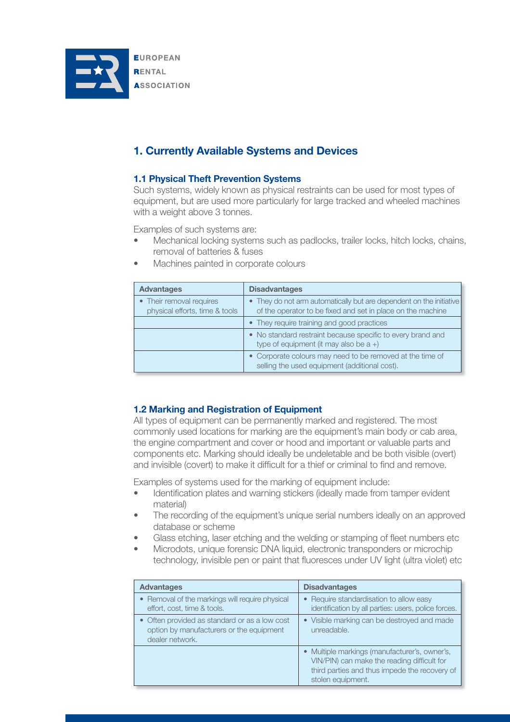

# **1. Currently Available Systems and Devices**

#### **1.1 Physical Theft Prevention Systems**

Such systems, widely known as physical restraints can be used for most types of equipment, but are used more particularly for large tracked and wheeled machines with a weight above 3 tonnes.

Examples of such systems are:

- Mechanical locking systems such as padlocks, trailer locks, hitch locks, chains, removal of batteries & fuses
- **Disadvantages** • They do not arm automatically but are dependent on the initiative of the operator to be fixed and set in place on the machine • They require training and good practices • No standard restraint because specific to every brand and type of equipment (it may also be  $a +$ ) • Corporate colours may need to be removed at the time of selling the used equipment (additional cost). **Advantages** • Their removal requires physical efforts, time & tools
- Machines painted in corporate colours

#### **1.2 Marking and Registration of Equipment**

All types of equipment can be permanently marked and registered. The most commonly used locations for marking are the equipment's main body or cab area, the engine compartment and cover or hood and important or valuable parts and components etc. Marking should ideally be undeletable and be both visible (overt) and invisible (covert) to make it difficult for a thief or criminal to find and remove.

Examples of systems used for the marking of equipment include:

- Identification plates and warning stickers (ideally made from tamper evident material)
- The recording of the equipment's unique serial numbers ideally on an approved database or scheme
- Glass etching, laser etching and the welding or stamping of fleet numbers etc
- Microdots, unique forensic DNA liquid, electronic transponders or microchip technology, invisible pen or paint that fluoresces under UV light (ultra violet) etc.

| <b>Advantages</b>                                                                                            | <b>Disadvantages</b>                                                                                                                                               |
|--------------------------------------------------------------------------------------------------------------|--------------------------------------------------------------------------------------------------------------------------------------------------------------------|
| • Removal of the markings will require physical<br>effort, cost, time & tools.                               | • Require standardisation to allow easy<br>identification by all parties: users, police forces.                                                                    |
| • Often provided as standard or as a low cost<br>option by manufacturers or the equipment<br>dealer network. | • Visible marking can be destroyed and made<br>unreadable.                                                                                                         |
|                                                                                                              | • Multiple markings (manufacturer's, owner's,<br>VIN/PIN) can make the reading difficult for<br>third parties and thus impede the recovery of<br>stolen equipment. |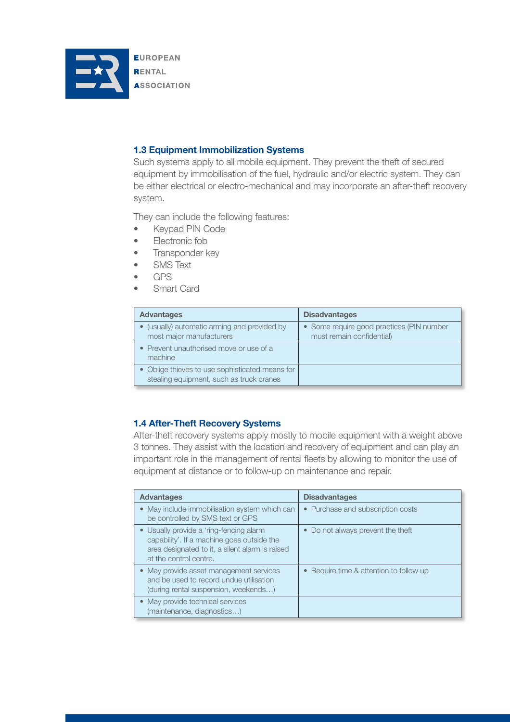

#### **1.3 Equipment Immobilization Systems**

Such systems apply to all mobile equipment. They prevent the theft of secured equipment by immobilisation of the fuel, hydraulic and/or electric system. They can be either electrical or electro-mechanical and may incorporate an after-theft recovery system.

They can include the following features:

- Keypad PIN Code
- Electronic fob
- Transponder key
- **SMS Text**
- GPS
- Smart Card

| <b>Advantages</b>                                                                           | <b>Disadvantages</b>                                                   |
|---------------------------------------------------------------------------------------------|------------------------------------------------------------------------|
| • (usually) automatic arming and provided by<br>most major manufacturers                    | • Some require good practices (PIN number<br>must remain confidential) |
| • Prevent unauthorised move or use of a<br>machine                                          |                                                                        |
| • Oblige thieves to use sophisticated means for<br>stealing equipment, such as truck cranes |                                                                        |

#### **1.4 After-Theft Recovery Systems**

After-theft recovery systems apply mostly to mobile equipment with a weight above 3 tonnes. They assist with the location and recovery of equipment and can play an important role in the management of rental fleets by allowing to monitor the use of equipment at distance or to follow-up on maintenance and repair.

| <b>Advantages</b>                                                                                                                                                  | <b>Disadvantages</b>                  |
|--------------------------------------------------------------------------------------------------------------------------------------------------------------------|---------------------------------------|
| May include immobilisation system which can<br>be controlled by SMS text or GPS                                                                                    | • Purchase and subscription costs     |
| • Usually provide a 'ring-fencing alarm<br>capability'. If a machine goes outside the<br>area designated to it, a silent alarm is raised<br>at the control centre. | • Do not always prevent the theft     |
| • May provide asset management services<br>and be used to record undue utilisation<br>(during rental suspension, weekends)                                         | Require time & attention to follow up |
| • May provide technical services<br>(maintenance, diagnostics)                                                                                                     |                                       |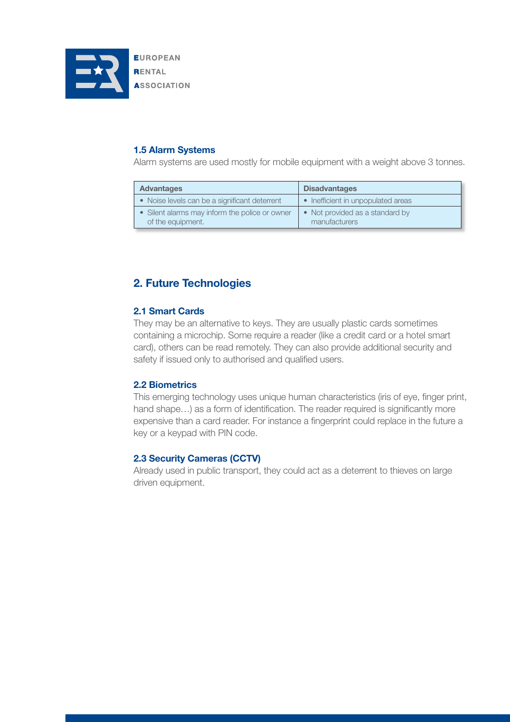

**1.5 Alarm Systems**

Alarm systems are used mostly for mobile equipment with a weight above 3 tonnes.

| <b>Advantages</b>                                                   | <b>Disadvantages</b>                             |
|---------------------------------------------------------------------|--------------------------------------------------|
| • Noise levels can be a significant deterrent                       | • Inefficient in unpopulated areas               |
| • Silent alarms may inform the police or owner<br>of the equipment. | • Not provided as a standard by<br>manufacturers |

## **2. Future Technologies**

#### **2.1 Smart Cards**

They may be an alternative to keys. They are usually plastic cards sometimes containing a microchip. Some require a reader (like a credit card or a hotel smart card), others can be read remotely. They can also provide additional security and safety if issued only to authorised and qualified users.

#### **2.2 Biometrics**

This emerging technology uses unique human characteristics (iris of eye, finger print, hand shape...) as a form of identification. The reader required is significantly more expensive than a card reader. For instance a fingerprint could replace in the future a key or a keypad with PIN code.

#### **2.3 Security Cameras (CCTV)**

Already used in public transport, they could act as a deterrent to thieves on large driven equipment.